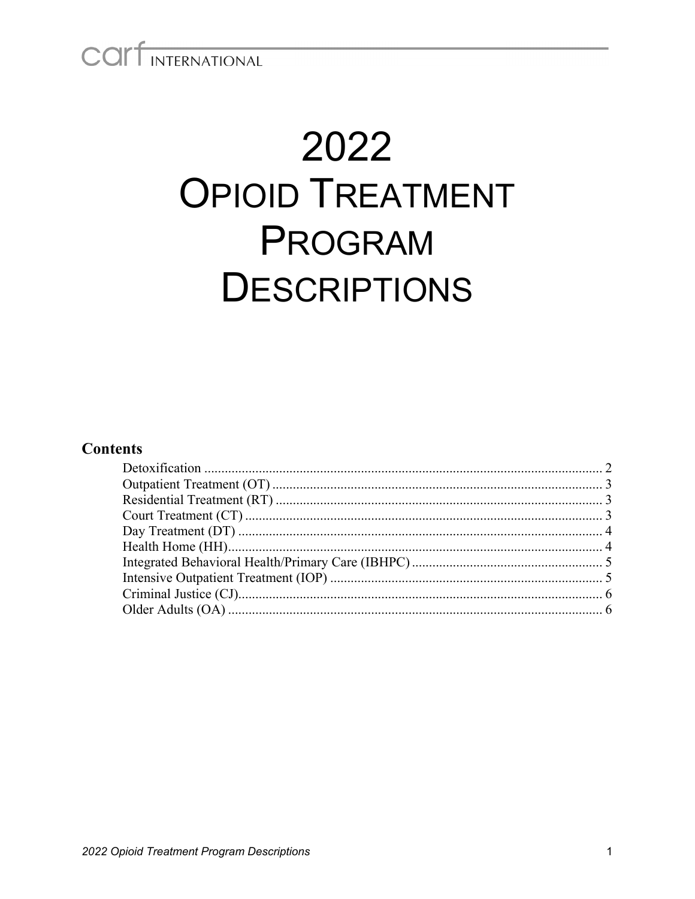COLLINTERNATIONAL

# 2022 **OPIOID TREATMENT** PROGRAM **DESCRIPTIONS**

#### **Contents**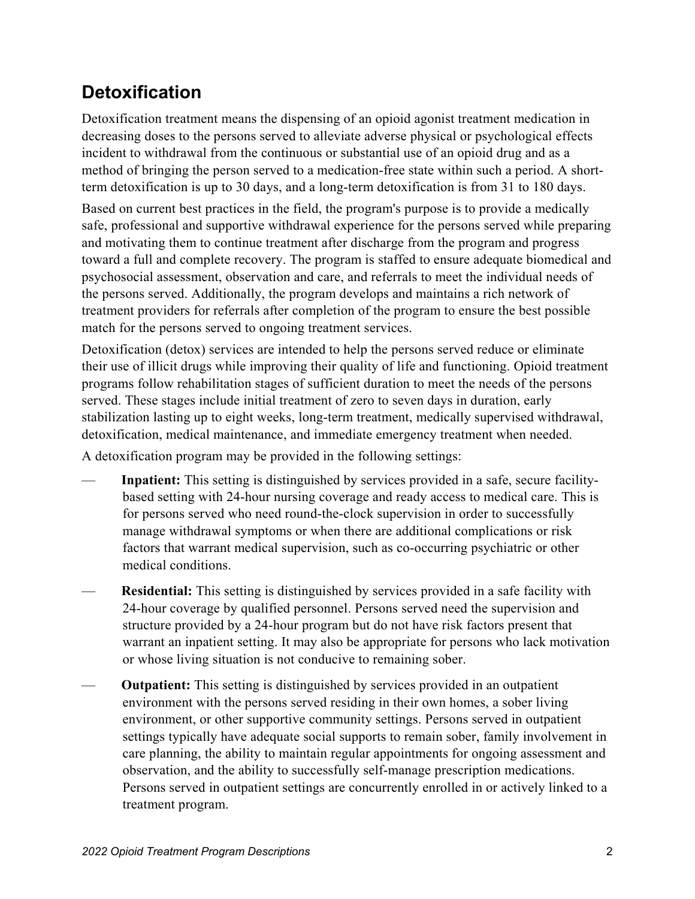#### <span id="page-1-0"></span>**Detoxification**

Detoxification treatment means the dispensing of an opioid agonist treatment medication in decreasing doses to the persons served to alleviate adverse physical or psychological effects incident to withdrawal from the continuous or substantial use of an opioid drug and as a method of bringing the person served to a medication-free state within such a period. A shortterm detoxification is up to 30 days, and a long-term detoxification is from 31 to 180 days.

Based on current best practices in the field, the program's purpose is to provide a medically safe, professional and supportive withdrawal experience for the persons served while preparing and motivating them to continue treatment after discharge from the program and progress toward a full and complete recovery. The program is staffed to ensure adequate biomedical and psychosocial assessment, observation and care, and referrals to meet the individual needs of the persons served. Additionally, the program develops and maintains a rich network of treatment providers for referrals after completion of the program to ensure the best possible match for the persons served to ongoing treatment services.

Detoxification (detox) services are intended to help the persons served reduce or eliminate their use of illicit drugs while improving their quality of life and functioning. Opioid treatment programs follow rehabilitation stages of sufficient duration to meet the needs of the persons served. These stages include initial treatment of zero to seven days in duration, early stabilization lasting up to eight weeks, long-term treatment, medically supervised withdrawal, detoxification, medical maintenance, and immediate emergency treatment when needed.

A detoxification program may be provided in the following settings:

- Inpatient: This setting is distinguished by services provided in a safe, secure facilitybased setting with 24-hour nursing coverage and ready access to medical care. This is for persons served who need round-the-clock supervision in order to successfully manage withdrawal symptoms or when there are additional complications or risk factors that warrant medical supervision, such as co-occurring psychiatric or other medical conditions.
- **Residential:** This setting is distinguished by services provided in a safe facility with 24-hour coverage by qualified personnel. Persons served need the supervision and structure provided by a 24-hour program but do not have risk factors present that warrant an inpatient setting. It may also be appropriate for persons who lack motivation or whose living situation is not conducive to remaining sober.
- **Outpatient:** This setting is distinguished by services provided in an outpatient environment with the persons served residing in their own homes, a sober living environment, or other supportive community settings. Persons served in outpatient settings typically have adequate social supports to remain sober, family involvement in care planning, the ability to maintain regular appointments for ongoing assessment and observation, and the ability to successfully self-manage prescription medications. Persons served in outpatient settings are concurrently enrolled in or actively linked to a treatment program.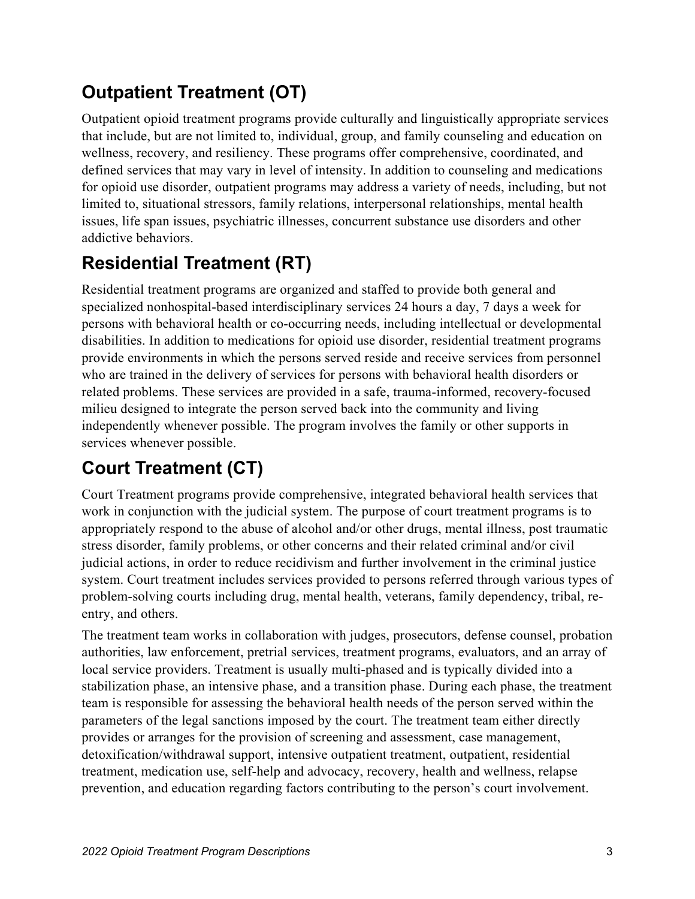#### <span id="page-2-0"></span>**Outpatient Treatment (OT)**

Outpatient opioid treatment programs provide culturally and linguistically appropriate services that include, but are not limited to, individual, group, and family counseling and education on wellness, recovery, and resiliency. These programs offer comprehensive, coordinated, and defined services that may vary in level of intensity. In addition to counseling and medications for opioid use disorder, outpatient programs may address a variety of needs, including, but not limited to, situational stressors, family relations, interpersonal relationships, mental health issues, life span issues, psychiatric illnesses, concurrent substance use disorders and other addictive behaviors.

# <span id="page-2-1"></span>**Residential Treatment (RT)**

Residential treatment programs are organized and staffed to provide both general and specialized nonhospital-based interdisciplinary services 24 hours a day, 7 days a week for persons with behavioral health or co-occurring needs, including intellectual or developmental disabilities. In addition to medications for opioid use disorder, residential treatment programs provide environments in which the persons served reside and receive services from personnel who are trained in the delivery of services for persons with behavioral health disorders or related problems. These services are provided in a safe, trauma-informed, recovery-focused milieu designed to integrate the person served back into the community and living independently whenever possible. The program involves the family or other supports in services whenever possible.

## <span id="page-2-2"></span>**Court Treatment (CT)**

Court Treatment programs provide comprehensive, integrated behavioral health services that work in conjunction with the judicial system. The purpose of court treatment programs is to appropriately respond to the abuse of alcohol and/or other drugs, mental illness, post traumatic stress disorder, family problems, or other concerns and their related criminal and/or civil judicial actions, in order to reduce recidivism and further involvement in the criminal justice system. Court treatment includes services provided to persons referred through various types of problem-solving courts including drug, mental health, veterans, family dependency, tribal, reentry, and others.

The treatment team works in collaboration with judges, prosecutors, defense counsel, probation authorities, law enforcement, pretrial services, treatment programs, evaluators, and an array of local service providers. Treatment is usually multi-phased and is typically divided into a stabilization phase, an intensive phase, and a transition phase. During each phase, the treatment team is responsible for assessing the behavioral health needs of the person served within the parameters of the legal sanctions imposed by the court. The treatment team either directly provides or arranges for the provision of screening and assessment, case management, detoxification/withdrawal support, intensive outpatient treatment, outpatient, residential treatment, medication use, self-help and advocacy, recovery, health and wellness, relapse prevention, and education regarding factors contributing to the person's court involvement.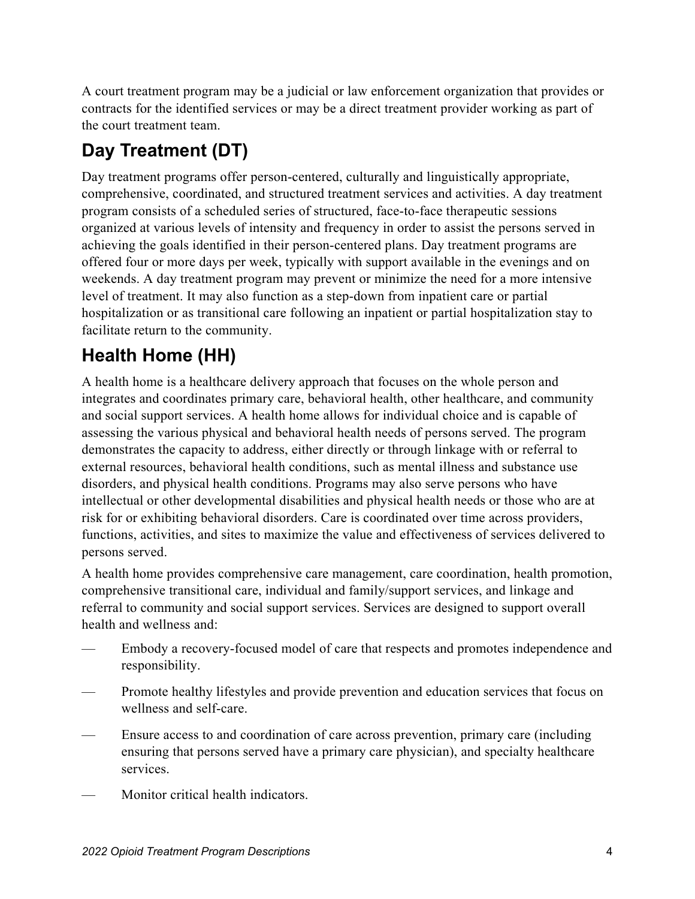A court treatment program may be a judicial or law enforcement organization that provides or contracts for the identified services or may be a direct treatment provider working as part of the court treatment team.

# <span id="page-3-0"></span>**Day Treatment (DT)**

Day treatment programs offer person-centered, culturally and linguistically appropriate, comprehensive, coordinated, and structured treatment services and activities. A day treatment program consists of a scheduled series of structured, face-to-face therapeutic sessions organized at various levels of intensity and frequency in order to assist the persons served in achieving the goals identified in their person-centered plans. Day treatment programs are offered four or more days per week, typically with support available in the evenings and on weekends. A day treatment program may prevent or minimize the need for a more intensive level of treatment. It may also function as a step-down from inpatient care or partial hospitalization or as transitional care following an inpatient or partial hospitalization stay to facilitate return to the community.

## <span id="page-3-1"></span>**Health Home (HH)**

A health home is a healthcare delivery approach that focuses on the whole person and integrates and coordinates primary care, behavioral health, other healthcare, and community and social support services. A health home allows for individual choice and is capable of assessing the various physical and behavioral health needs of persons served. The program demonstrates the capacity to address, either directly or through linkage with or referral to external resources, behavioral health conditions, such as mental illness and substance use disorders, and physical health conditions. Programs may also serve persons who have intellectual or other developmental disabilities and physical health needs or those who are at risk for or exhibiting behavioral disorders. Care is coordinated over time across providers, functions, activities, and sites to maximize the value and effectiveness of services delivered to persons served.

A health home provides comprehensive care management, care coordination, health promotion, comprehensive transitional care, individual and family/support services, and linkage and referral to community and social support services. Services are designed to support overall health and wellness and:

- Embody a recovery-focused model of care that respects and promotes independence and responsibility.
- Promote healthy lifestyles and provide prevention and education services that focus on wellness and self-care.
- Ensure access to and coordination of care across prevention, primary care (including ensuring that persons served have a primary care physician), and specialty healthcare services.
- Monitor critical health indicators.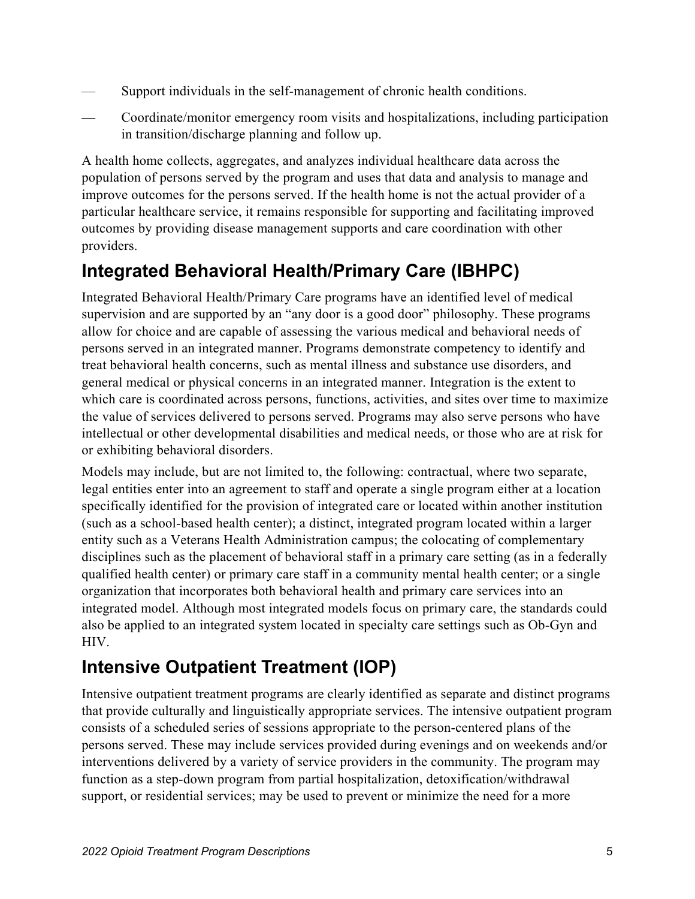- Support individuals in the self-management of chronic health conditions.
- Coordinate/monitor emergency room visits and hospitalizations, including participation in transition/discharge planning and follow up.

A health home collects, aggregates, and analyzes individual healthcare data across the population of persons served by the program and uses that data and analysis to manage and improve outcomes for the persons served. If the health home is not the actual provider of a particular healthcare service, it remains responsible for supporting and facilitating improved outcomes by providing disease management supports and care coordination with other providers.

#### <span id="page-4-0"></span>**Integrated Behavioral Health/Primary Care (IBHPC)**

Integrated Behavioral Health/Primary Care programs have an identified level of medical supervision and are supported by an "any door is a good door" philosophy. These programs allow for choice and are capable of assessing the various medical and behavioral needs of persons served in an integrated manner. Programs demonstrate competency to identify and treat behavioral health concerns, such as mental illness and substance use disorders, and general medical or physical concerns in an integrated manner. Integration is the extent to which care is coordinated across persons, functions, activities, and sites over time to maximize the value of services delivered to persons served. Programs may also serve persons who have intellectual or other developmental disabilities and medical needs, or those who are at risk for or exhibiting behavioral disorders.

Models may include, but are not limited to, the following: contractual, where two separate, legal entities enter into an agreement to staff and operate a single program either at a location specifically identified for the provision of integrated care or located within another institution (such as a school-based health center); a distinct, integrated program located within a larger entity such as a Veterans Health Administration campus; the colocating of complementary disciplines such as the placement of behavioral staff in a primary care setting (as in a federally qualified health center) or primary care staff in a community mental health center; or a single organization that incorporates both behavioral health and primary care services into an integrated model. Although most integrated models focus on primary care, the standards could also be applied to an integrated system located in specialty care settings such as Ob-Gyn and HIV.

#### <span id="page-4-1"></span>**Intensive Outpatient Treatment (IOP)**

Intensive outpatient treatment programs are clearly identified as separate and distinct programs that provide culturally and linguistically appropriate services. The intensive outpatient program consists of a scheduled series of sessions appropriate to the person-centered plans of the persons served. These may include services provided during evenings and on weekends and/or interventions delivered by a variety of service providers in the community. The program may function as a step-down program from partial hospitalization, detoxification/withdrawal support, or residential services; may be used to prevent or minimize the need for a more